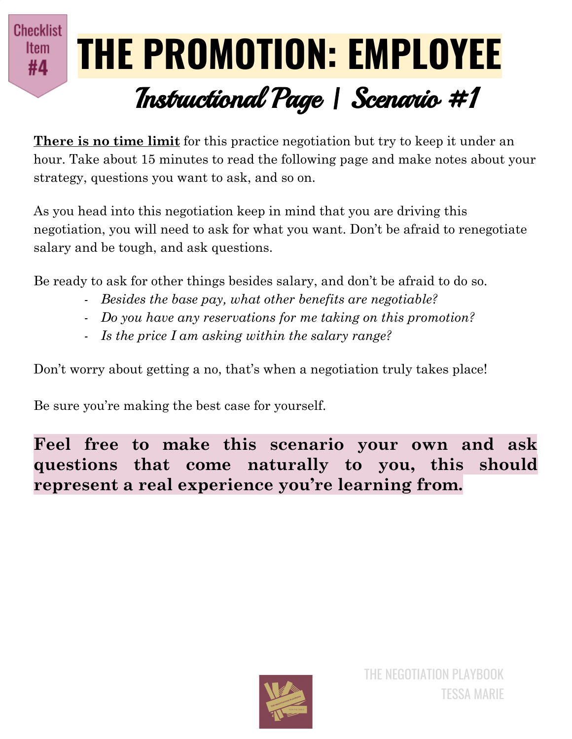## **Checklist THE PROMOTION: EMPLOYEE** Item #4 Instructional Page | Scenario #1

**There is no time limit** for this practice negotiation but try to keep it under an hour. Take about 15 minutes to read the following page and make notes about your strategy, questions you want to ask, and so on.

As you head into this negotiation keep in mind that you are driving this negotiation, you will need to ask for what you want. Don't be afraid to renegotiate salary and be tough, and ask questions.

Be ready to ask for other things besides salary, and don't be afraid to do so.

- *- Besides the base pay, what other benefits are negotiable?*
- *- Do you have any reservations for me taking on this promotion?*
- *- Is the price I am asking within the salary range?*

Don't worry about getting a no, that's when a negotiation truly takes place!

Be sure you're making the best case for yourself.

**Feel free to make this scenario your own and ask questions that come naturally to you, this should represent a real experience you're learning from.**

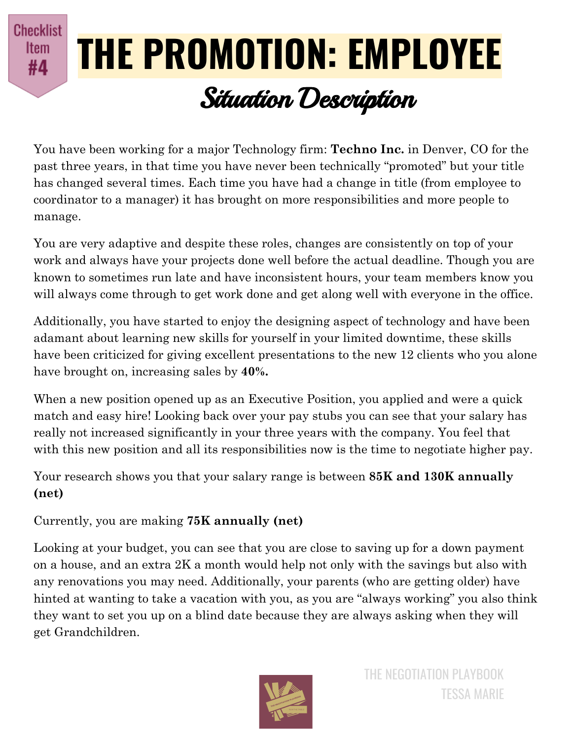**Checklist** Item #4

## **THE PROMOTION: EMPLOYEE** Situation Description

You have been working for a major Technology firm: **Techno Inc.** in Denver, CO for the past three years, in that time you have never been technically "promoted" but your title has changed several times. Each time you have had a change in title (from employee to coordinator to a manager) it has brought on more responsibilities and more people to manage.

You are very adaptive and despite these roles, changes are consistently on top of your work and always have your projects done well before the actual deadline. Though you are known to sometimes run late and have inconsistent hours, your team members know you will always come through to get work done and get along well with everyone in the office.

Additionally, you have started to enjoy the designing aspect of technology and have been adamant about learning new skills for yourself in your limited downtime, these skills have been criticized for giving excellent presentations to the new 12 clients who you alone have brought on, increasing sales by **40%.**

When a new position opened up as an Executive Position, you applied and were a quick match and easy hire! Looking back over your pay stubs you can see that your salary has really not increased significantly in your three years with the company. You feel that with this new position and all its responsibilities now is the time to negotiate higher pay.

Your research shows you that your salary range is between **85K and 130K annually (net)**

## Currently, you are making **75K annually (net)**

Looking at your budget, you can see that you are close to saving up for a down payment on a house, and an extra 2K a month would help not only with the savings but also with any renovations you may need. Additionally, your parents (who are getting older) have hinted at wanting to take a vacation with you, as you are "always working" you also think they want to set you up on a blind date because they are always asking when they will get Grandchildren.